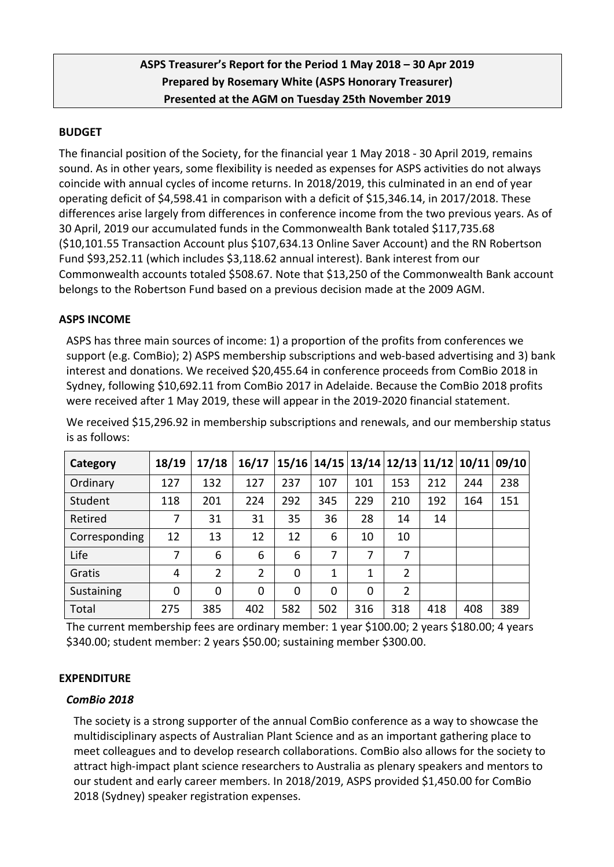# **ASPS Treasurer's Report for the Period 1 May 2018 – 30 Apr 2019 Prepared by Rosemary White (ASPS Honorary Treasurer) Presented at the AGM on Tuesday 25th November 2019**

## **BUDGET**

The financial position of the Society, for the financial year 1 May 2018 - 30 April 2019, remains sound. As in other years, some flexibility is needed as expenses for ASPS activities do not always coincide with annual cycles of income returns. In 2018/2019, this culminated in an end of year operating deficit of \$4,598.41 in comparison with a deficit of \$15,346.14, in 2017/2018. These differences arise largely from differences in conference income from the two previous years. As of 30 April, 2019 our accumulated funds in the Commonwealth Bank totaled \$117,735.68 (\$10,101.55 Transaction Account plus \$107,634.13 Online Saver Account) and the RN Robertson Fund \$93,252.11 (which includes \$3,118.62 annual interest). Bank interest from our Commonwealth accounts totaled \$508.67. Note that \$13,250 of the Commonwealth Bank account belongs to the Robertson Fund based on a previous decision made at the 2009 AGM.

#### **ASPS INCOME**

ASPS has three main sources of income: 1) a proportion of the profits from conferences we support (e.g. ComBio); 2) ASPS membership subscriptions and web-based advertising and 3) bank interest and donations. We received \$20,455.64 in conference proceeds from ComBio 2018 in Sydney, following \$10,692.11 from ComBio 2017 in Adelaide. Because the ComBio 2018 profits were received after 1 May 2019, these will appear in the 2019-2020 financial statement.

| Category      | 18/19 | 17/18          | 16/17          |          | 15/16 14/15 13/14 12/13 11/12 10/11 09/10 |          |                |     |     |     |
|---------------|-------|----------------|----------------|----------|-------------------------------------------|----------|----------------|-----|-----|-----|
| Ordinary      | 127   | 132            | 127            | 237      | 107                                       | 101      | 153            | 212 | 244 | 238 |
| Student       | 118   | 201            | 224            | 292      | 345                                       | 229      | 210            | 192 | 164 | 151 |
| Retired       | 7     | 31             | 31             | 35       | 36                                        | 28       | 14             | 14  |     |     |
| Corresponding | 12    | 13             | 12             | 12       | 6                                         | 10       | 10             |     |     |     |
| Life          | 7     | 6              | 6              | 6        | 7                                         | 7        | 7              |     |     |     |
| Gratis        | 4     | $\overline{2}$ | $\overline{2}$ | 0        | 1                                         | 1        | $\overline{2}$ |     |     |     |
| Sustaining    | 0     | 0              | 0              | $\Omega$ | $\Omega$                                  | $\Omega$ | $\overline{2}$ |     |     |     |
| Total         | 275   | 385            | 402            | 582      | 502                                       | 316      | 318            | 418 | 408 | 389 |

We received \$15,296.92 in membership subscriptions and renewals, and our membership status is as follows:

The current membership fees are ordinary member: 1 year \$100.00; 2 years \$180.00; 4 years \$340.00; student member: 2 years \$50.00; sustaining member \$300.00.

## **EXPENDITURE**

#### *ComBio 2018*

The society is a strong supporter of the annual ComBio conference as a way to showcase the multidisciplinary aspects of Australian Plant Science and as an important gathering place to meet colleagues and to develop research collaborations. ComBio also allows for the society to attract high-impact plant science researchers to Australia as plenary speakers and mentors to our student and early career members. In 2018/2019, ASPS provided \$1,450.00 for ComBio 2018 (Sydney) speaker registration expenses.